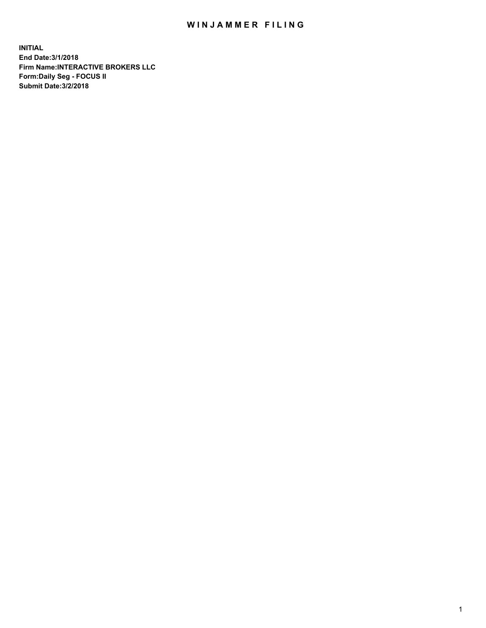## WIN JAMMER FILING

**INITIAL End Date:3/1/2018 Firm Name:INTERACTIVE BROKERS LLC Form:Daily Seg - FOCUS II Submit Date:3/2/2018**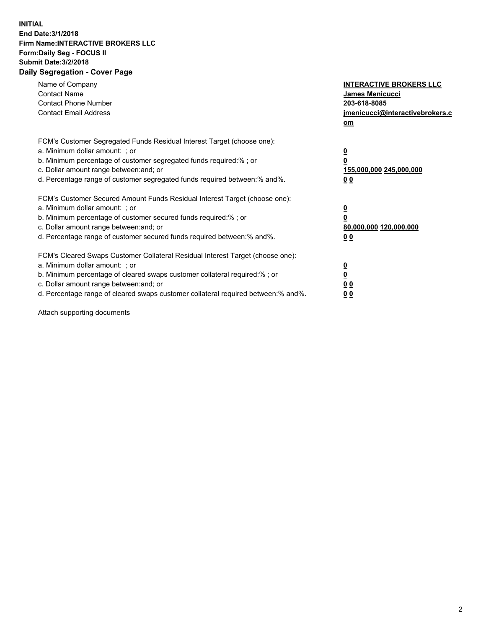## **INITIAL End Date:3/1/2018 Firm Name:INTERACTIVE BROKERS LLC Form:Daily Seg - FOCUS II Submit Date:3/2/2018 Daily Segregation - Cover Page**

| Name of Company<br><b>Contact Name</b><br><b>Contact Phone Number</b><br><b>Contact Email Address</b>                                                                                                                                                                                                                          | <b>INTERACTIVE BROKERS LLC</b><br>James Menicucci<br>203-618-8085<br>jmenicucci@interactivebrokers.c<br>om |
|--------------------------------------------------------------------------------------------------------------------------------------------------------------------------------------------------------------------------------------------------------------------------------------------------------------------------------|------------------------------------------------------------------------------------------------------------|
| FCM's Customer Segregated Funds Residual Interest Target (choose one):<br>a. Minimum dollar amount: ; or<br>b. Minimum percentage of customer segregated funds required:%; or<br>c. Dollar amount range between: and; or<br>d. Percentage range of customer segregated funds required between:% and%.                          | $\overline{\mathbf{0}}$<br>$\overline{\mathbf{0}}$<br>155,000,000 245,000,000<br>00                        |
| FCM's Customer Secured Amount Funds Residual Interest Target (choose one):<br>a. Minimum dollar amount: ; or<br>b. Minimum percentage of customer secured funds required:%; or<br>c. Dollar amount range between: and; or<br>d. Percentage range of customer secured funds required between: % and %.                          | $\overline{\mathbf{0}}$<br>0<br>80,000,000 120,000,000<br>00                                               |
| FCM's Cleared Swaps Customer Collateral Residual Interest Target (choose one):<br>a. Minimum dollar amount: ; or<br>b. Minimum percentage of cleared swaps customer collateral required:% ; or<br>c. Dollar amount range between: and; or<br>d. Percentage range of cleared swaps customer collateral required between:% and%. | $\overline{\mathbf{0}}$<br>$\underline{\mathbf{0}}$<br>0 <sub>0</sub><br>0 <sub>0</sub>                    |

Attach supporting documents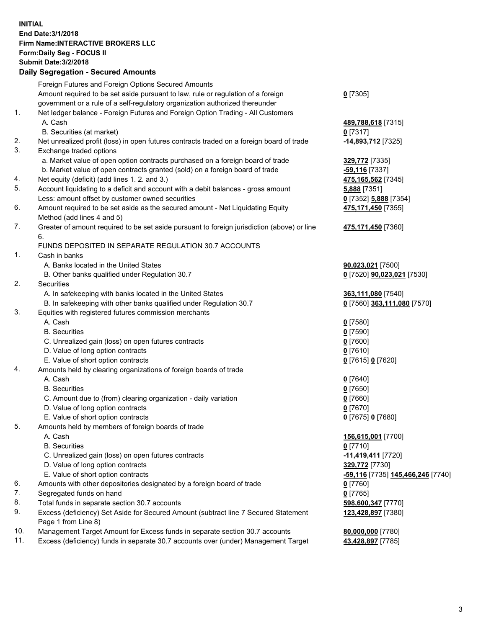## **INITIAL End Date:3/1/2018 Firm Name:INTERACTIVE BROKERS LLC Form:Daily Seg - FOCUS II Submit Date:3/2/2018 Daily Segregation - Secured Amounts**

|     | Foreign Futures and Foreign Options Secured Amounts                                         |                                                |
|-----|---------------------------------------------------------------------------------------------|------------------------------------------------|
|     | Amount required to be set aside pursuant to law, rule or regulation of a foreign            | $0$ [7305]                                     |
|     | government or a rule of a self-regulatory organization authorized thereunder                |                                                |
| 1.  | Net ledger balance - Foreign Futures and Foreign Option Trading - All Customers             |                                                |
|     | A. Cash                                                                                     | 489,788,618 [7315]                             |
|     | B. Securities (at market)                                                                   | $0$ [7317]                                     |
| 2.  | Net unrealized profit (loss) in open futures contracts traded on a foreign board of trade   | -14,893,712 [7325]                             |
| 3.  | Exchange traded options                                                                     |                                                |
|     | a. Market value of open option contracts purchased on a foreign board of trade              | 329,772 [7335]                                 |
|     | b. Market value of open contracts granted (sold) on a foreign board of trade                | -59,116 [7337]                                 |
| 4.  | Net equity (deficit) (add lines 1. 2. and 3.)                                               | 475,165,562 [7345]                             |
| 5.  | Account liquidating to a deficit and account with a debit balances - gross amount           | 5,888 [7351]                                   |
|     | Less: amount offset by customer owned securities                                            | 0 [7352] 5,888 [7354]                          |
| 6.  | Amount required to be set aside as the secured amount - Net Liquidating Equity              | 475,171,450 [7355]                             |
|     | Method (add lines 4 and 5)                                                                  |                                                |
| 7.  | Greater of amount required to be set aside pursuant to foreign jurisdiction (above) or line | 475,171,450 [7360]                             |
|     | 6.                                                                                          |                                                |
|     | FUNDS DEPOSITED IN SEPARATE REGULATION 30.7 ACCOUNTS                                        |                                                |
| 1.  | Cash in banks                                                                               |                                                |
|     | A. Banks located in the United States                                                       | 90,023,021 [7500]                              |
|     | B. Other banks qualified under Regulation 30.7                                              | 0 [7520] 90,023,021 [7530]                     |
| 2.  | Securities                                                                                  |                                                |
|     | A. In safekeeping with banks located in the United States                                   | 363,111,080 [7540]                             |
|     | B. In safekeeping with other banks qualified under Regulation 30.7                          | 0 [7560] 363,111,080 [7570]                    |
| 3.  | Equities with registered futures commission merchants                                       |                                                |
|     | A. Cash                                                                                     | $0$ [7580]                                     |
|     | <b>B.</b> Securities                                                                        | $0$ [7590]                                     |
|     | C. Unrealized gain (loss) on open futures contracts                                         | $0$ [7600]                                     |
|     | D. Value of long option contracts                                                           | $0$ [7610]                                     |
|     | E. Value of short option contracts                                                          | 0 [7615] 0 [7620]                              |
| 4.  | Amounts held by clearing organizations of foreign boards of trade                           |                                                |
|     | A. Cash                                                                                     | $0$ [7640]                                     |
|     | <b>B.</b> Securities                                                                        | $0$ [7650]                                     |
|     | C. Amount due to (from) clearing organization - daily variation                             | $0$ [7660]                                     |
|     | D. Value of long option contracts                                                           | $0$ [7670]                                     |
|     | E. Value of short option contracts                                                          | 0 [7675] 0 [7680]                              |
| 5.  | Amounts held by members of foreign boards of trade                                          |                                                |
|     | A. Cash                                                                                     | 156,615,001 [7700]                             |
|     | <b>B.</b> Securities                                                                        | $0$ [7710]                                     |
|     | C. Unrealized gain (loss) on open futures contracts                                         | -11,419,411 [7720]                             |
|     | D. Value of long option contracts                                                           | 329,772 [7730]                                 |
|     | E. Value of short option contracts                                                          | <mark>-59,116</mark> [7735] 145,466,246 [7740] |
| 6.  | Amounts with other depositories designated by a foreign board of trade                      | 0 [7760]                                       |
| 7.  | Segregated funds on hand                                                                    | $0$ [7765]                                     |
| 8.  | Total funds in separate section 30.7 accounts                                               | 598,600,347 [7770]                             |
| 9.  | Excess (deficiency) Set Aside for Secured Amount (subtract line 7 Secured Statement         | 123,428,897 [7380]                             |
|     | Page 1 from Line 8)                                                                         |                                                |
| 10. | Management Target Amount for Excess funds in separate section 30.7 accounts                 | 80,000,000 [7780]                              |
| 11. | Excess (deficiency) funds in separate 30.7 accounts over (under) Management Target          | 43,428,897 [7785]                              |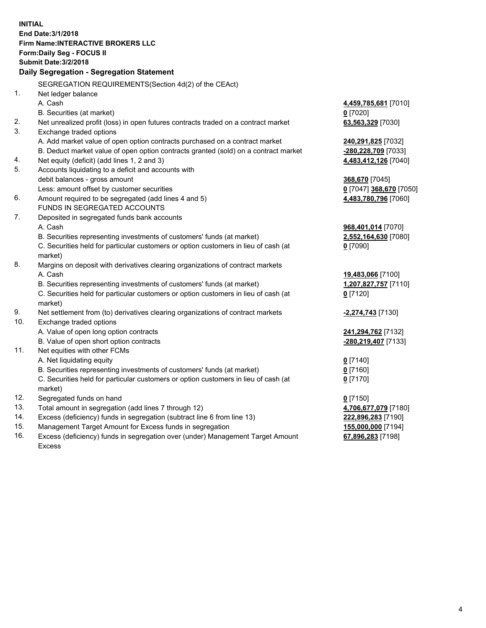**INITIAL End Date:3/1/2018 Firm Name:INTERACTIVE BROKERS LLC Form:Daily Seg - FOCUS II Submit Date:3/2/2018 Daily Segregation - Segregation Statement** SEGREGATION REQUIREMENTS(Section 4d(2) of the CEAct) 1. Net ledger balance A. Cash **4,459,785,681** [7010] B. Securities (at market) **0** [7020] 2. Net unrealized profit (loss) in open futures contracts traded on a contract market **63,563,329** [7030] 3. Exchange traded options A. Add market value of open option contracts purchased on a contract market **240,291,825** [7032] B. Deduct market value of open option contracts granted (sold) on a contract market **-280,228,709** [7033] 4. Net equity (deficit) (add lines 1, 2 and 3) **4,483,412,126** [7040] 5. Accounts liquidating to a deficit and accounts with debit balances - gross amount **368,670** [7045] Less: amount offset by customer securities **0** [7047] **368,670** [7050] 6. Amount required to be segregated (add lines 4 and 5) **4,483,780,796** [7060] FUNDS IN SEGREGATED ACCOUNTS 7. Deposited in segregated funds bank accounts A. Cash **968,401,014** [7070] B. Securities representing investments of customers' funds (at market) **2,552,164,630** [7080] C. Securities held for particular customers or option customers in lieu of cash (at market) **0** [7090] 8. Margins on deposit with derivatives clearing organizations of contract markets A. Cash **19,483,066** [7100] B. Securities representing investments of customers' funds (at market) **1,207,827,757** [7110] C. Securities held for particular customers or option customers in lieu of cash (at market) **0** [7120] 9. Net settlement from (to) derivatives clearing organizations of contract markets **-2,274,743** [7130] 10. Exchange traded options A. Value of open long option contracts **241,294,762** [7132] B. Value of open short option contracts **-280,219,407** [7133] 11. Net equities with other FCMs A. Net liquidating equity **0** [7140] B. Securities representing investments of customers' funds (at market) **0** [7160] C. Securities held for particular customers or option customers in lieu of cash (at market) **0** [7170] 12. Segregated funds on hand **0** [7150] 13. Total amount in segregation (add lines 7 through 12) **4,706,677,079** [7180] 14. Excess (deficiency) funds in segregation (subtract line 6 from line 13) **222,896,283** [7190] 15. Management Target Amount for Excess funds in segregation **155,000,000** [7194] **67,896,283** [7198]

16. Excess (deficiency) funds in segregation over (under) Management Target Amount Excess

4